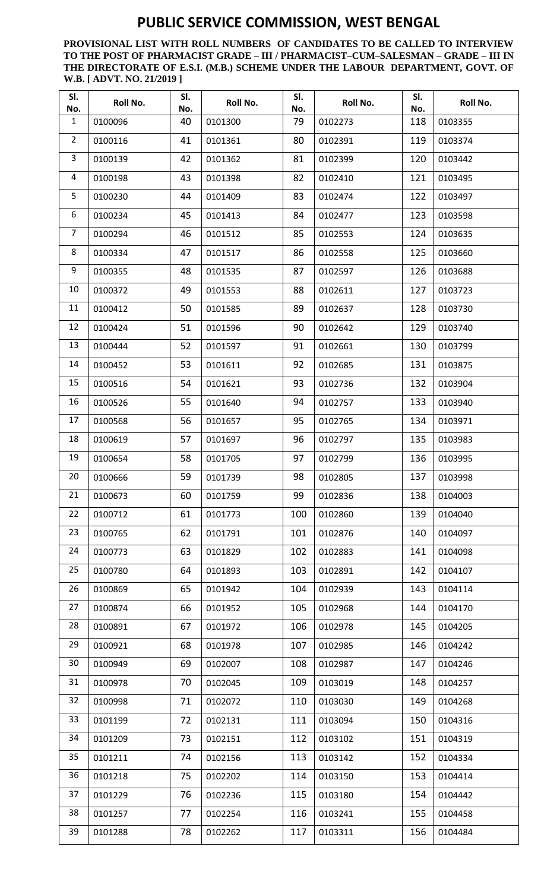**PROVISIONAL LIST WITH ROLL NUMBERS OF CANDIDATES TO BE CALLED TO INTERVIEW TO THE POST OF PHARMACIST GRADE – III / PHARMACIST–CUM–SALESMAN – GRADE – III IN THE DIRECTORATE OF E.S.I. (M.B.) SCHEME UNDER THE LABOUR DEPARTMENT, GOVT. OF W.B. [ ADVT. NO. 21/2019 ]**

| SI.<br>No.     | Roll No. | SI.<br>No. | Roll No. | SI.<br>No. | Roll No. | SI.<br>No. | Roll No. |
|----------------|----------|------------|----------|------------|----------|------------|----------|
| $\mathbf{1}$   | 0100096  | 40         | 0101300  | 79         | 0102273  | 118        | 0103355  |
| $\overline{2}$ | 0100116  | 41         | 0101361  | 80         | 0102391  | 119        | 0103374  |
| 3              | 0100139  | 42         | 0101362  | 81         | 0102399  | 120        | 0103442  |
| 4              | 0100198  | 43         | 0101398  | 82         | 0102410  | 121        | 0103495  |
| 5              | 0100230  | 44         | 0101409  | 83         | 0102474  | 122        | 0103497  |
| 6              | 0100234  | 45         | 0101413  | 84         | 0102477  | 123        | 0103598  |
| $\overline{7}$ | 0100294  | 46         | 0101512  | 85         | 0102553  | 124        | 0103635  |
| 8              | 0100334  | 47         | 0101517  | 86         | 0102558  | 125        | 0103660  |
| 9              | 0100355  | 48         | 0101535  | 87         | 0102597  | 126        | 0103688  |
| 10             | 0100372  | 49         | 0101553  | 88         | 0102611  | 127        | 0103723  |
| 11             | 0100412  | 50         | 0101585  | 89         | 0102637  | 128        | 0103730  |
| 12             | 0100424  | 51         | 0101596  | 90         | 0102642  | 129        | 0103740  |
| 13             | 0100444  | 52         | 0101597  | 91         | 0102661  | 130        | 0103799  |
| 14             | 0100452  | 53         | 0101611  | 92         | 0102685  | 131        | 0103875  |
| 15             | 0100516  | 54         | 0101621  | 93         | 0102736  | 132        | 0103904  |
| 16             | 0100526  | 55         | 0101640  | 94         | 0102757  | 133        | 0103940  |
| 17             | 0100568  | 56         | 0101657  | 95         | 0102765  | 134        | 0103971  |
| 18             | 0100619  | 57         | 0101697  | 96         | 0102797  | 135        | 0103983  |
| 19             | 0100654  | 58         | 0101705  | 97         | 0102799  | 136        | 0103995  |
| 20             | 0100666  | 59         | 0101739  | 98         | 0102805  | 137        | 0103998  |
| 21             | 0100673  | 60         | 0101759  | 99         | 0102836  | 138        | 0104003  |
| 22             | 0100712  | 61         | 0101773  | 100        | 0102860  | 139        | 0104040  |
| 23             | 0100765  | 62         | 0101791  | 101        | 0102876  | 140        | 0104097  |
| 24             | 0100773  | 63         | 0101829  | 102        | 0102883  | 141        | 0104098  |
| 25             | 0100780  | 64         | 0101893  | 103        | 0102891  | 142        | 0104107  |
| 26             | 0100869  | 65         | 0101942  | 104        | 0102939  | 143        | 0104114  |
| 27             | 0100874  | 66         | 0101952  | 105        | 0102968  | 144        | 0104170  |
| 28             | 0100891  | 67         | 0101972  | 106        | 0102978  | 145        | 0104205  |
| 29             | 0100921  | 68         | 0101978  | 107        | 0102985  | 146        | 0104242  |
| 30             | 0100949  | 69         | 0102007  | 108        | 0102987  | 147        | 0104246  |
| 31             | 0100978  | 70         | 0102045  | 109        | 0103019  | 148        | 0104257  |
| 32             | 0100998  | 71         | 0102072  | 110        | 0103030  | 149        | 0104268  |
| 33             | 0101199  | 72         | 0102131  | 111        | 0103094  | 150        | 0104316  |
| 34             | 0101209  | 73         | 0102151  | 112        | 0103102  | 151        | 0104319  |
| 35             | 0101211  | 74         | 0102156  | 113        | 0103142  | 152        | 0104334  |
| 36             | 0101218  | 75         | 0102202  | 114        | 0103150  | 153        | 0104414  |
| 37             | 0101229  | 76         | 0102236  | 115        | 0103180  | 154        | 0104442  |
| 38             | 0101257  | 77         | 0102254  | 116        | 0103241  | 155        | 0104458  |
| 39             | 0101288  | 78         | 0102262  | 117        | 0103311  | 156        | 0104484  |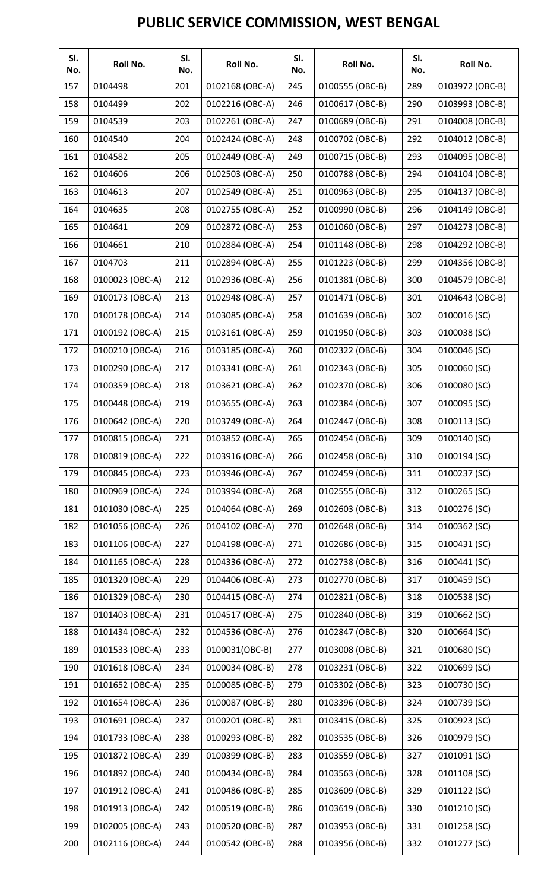| SI.<br>No. | Roll No.        | SI.<br>No. | Roll No.        | SI.<br>No. | Roll No.        | SI.<br>No. | Roll No.        |
|------------|-----------------|------------|-----------------|------------|-----------------|------------|-----------------|
| 157        | 0104498         | 201        | 0102168 (OBC-A) | 245        | 0100555 (OBC-B) | 289        | 0103972 (OBC-B) |
| 158        | 0104499         | 202        | 0102216 (OBC-A) | 246        | 0100617 (OBC-B) | 290        | 0103993 (OBC-B) |
| 159        | 0104539         | 203        | 0102261 (OBC-A) | 247        | 0100689 (OBC-B) | 291        | 0104008 (OBC-B) |
| 160        | 0104540         | 204        | 0102424 (OBC-A) | 248        | 0100702 (OBC-B) | 292        | 0104012 (OBC-B) |
| 161        | 0104582         | 205        | 0102449 (OBC-A) | 249        | 0100715 (OBC-B) | 293        | 0104095 (OBC-B) |
| 162        | 0104606         | 206        | 0102503 (OBC-A) | 250        | 0100788 (OBC-B) | 294        | 0104104 (OBC-B) |
| 163        | 0104613         | 207        | 0102549 (OBC-A) | 251        | 0100963 (OBC-B) | 295        | 0104137 (OBC-B) |
| 164        | 0104635         | 208        | 0102755 (OBC-A) | 252        | 0100990 (OBC-B) | 296        | 0104149 (OBC-B) |
| 165        | 0104641         | 209        | 0102872 (OBC-A) | 253        | 0101060 (OBC-B) | 297        | 0104273 (OBC-B) |
| 166        | 0104661         | 210        | 0102884 (OBC-A) | 254        | 0101148 (OBC-B) | 298        | 0104292 (OBC-B) |
| 167        | 0104703         | 211        | 0102894 (OBC-A) | 255        | 0101223 (OBC-B) | 299        | 0104356 (OBC-B) |
| 168        | 0100023 (OBC-A) | 212        | 0102936 (OBC-A) | 256        | 0101381 (OBC-B) | 300        | 0104579 (OBC-B) |
| 169        | 0100173 (OBC-A) | 213        | 0102948 (OBC-A) | 257        | 0101471 (OBC-B) | 301        | 0104643 (OBC-B) |
| 170        | 0100178 (OBC-A) | 214        | 0103085 (OBC-A) | 258        | 0101639 (OBC-B) | 302        | 0100016 (SC)    |
| 171        | 0100192 (OBC-A) | 215        | 0103161 (OBC-A) | 259        | 0101950 (OBC-B) | 303        | 0100038 (SC)    |
| 172        | 0100210 (OBC-A) | 216        | 0103185 (OBC-A) | 260        | 0102322 (OBC-B) | 304        | 0100046 (SC)    |
| 173        | 0100290 (OBC-A) | 217        | 0103341 (OBC-A) | 261        | 0102343 (OBC-B) | 305        | 0100060 (SC)    |
| 174        | 0100359 (OBC-A) | 218        | 0103621 (OBC-A) | 262        | 0102370 (OBC-B) | 306        | 0100080 (SC)    |
| 175        | 0100448 (OBC-A) | 219        | 0103655 (OBC-A) | 263        | 0102384 (OBC-B) | 307        | 0100095 (SC)    |
| 176        | 0100642 (OBC-A) | 220        | 0103749 (OBC-A) | 264        | 0102447 (OBC-B) | 308        | 0100113 (SC)    |
| 177        | 0100815 (OBC-A) | 221        | 0103852 (OBC-A) | 265        | 0102454 (OBC-B) | 309        | 0100140 (SC)    |
| 178        | 0100819 (OBC-A) | 222        | 0103916 (OBC-A) | 266        | 0102458 (OBC-B) | 310        | 0100194 (SC)    |
| 179        | 0100845 (OBC-A) | 223        | 0103946 (OBC-A) | 267        | 0102459 (OBC-B) | 311        | 0100237 (SC)    |
| 180        | 0100969 (OBC-A) | 224        | 0103994 (OBC-A) | 268        | 0102555 (OBC-B) | 312        | 0100265 (SC)    |
| 181        | 0101030 (OBC-A) | 225        | 0104064 (OBC-A) | 269        | 0102603 (OBC-B) | 313        | 0100276 (SC)    |
| 182        | 0101056 (OBC-A) | 226        | 0104102 (OBC-A) | 270        | 0102648 (OBC-B) | 314        | 0100362 (SC)    |
| 183        | 0101106 (OBC-A) | 227        | 0104198 (OBC-A) | 271        | 0102686 (OBC-B) | 315        | 0100431 (SC)    |
| 184        | 0101165 (OBC-A) | 228        | 0104336 (OBC-A) | 272        | 0102738 (OBC-B) | 316        | 0100441 (SC)    |
| 185        | 0101320 (OBC-A) | 229        | 0104406 (OBC-A) | 273        | 0102770 (OBC-B) | 317        | 0100459 (SC)    |
| 186        | 0101329 (OBC-A) | 230        | 0104415 (OBC-A) | 274        | 0102821 (OBC-B) | 318        | 0100538 (SC)    |
| 187        | 0101403 (OBC-A) | 231        | 0104517 (OBC-A) | 275        | 0102840 (OBC-B) | 319        | 0100662 (SC)    |
| 188        | 0101434 (OBC-A) | 232        | 0104536 (OBC-A) | 276        | 0102847 (OBC-B) | 320        | 0100664 (SC)    |
| 189        | 0101533 (OBC-A) | 233        | 0100031(OBC-B)  | 277        | 0103008 (OBC-B) | 321        | 0100680 (SC)    |
| 190        | 0101618 (OBC-A) | 234        | 0100034 (OBC-B) | 278        | 0103231 (OBC-B) | 322        | 0100699 (SC)    |
| 191        | 0101652 (OBC-A) | 235        | 0100085 (OBC-B) | 279        | 0103302 (OBC-B) | 323        | 0100730 (SC)    |
| 192        | 0101654 (OBC-A) | 236        | 0100087 (OBC-B) | 280        | 0103396 (OBC-B) | 324        | 0100739 (SC)    |
| 193        | 0101691 (OBC-A) | 237        | 0100201 (OBC-B) | 281        | 0103415 (OBC-B) | 325        | 0100923 (SC)    |
| 194        | 0101733 (OBC-A) | 238        | 0100293 (OBC-B) | 282        | 0103535 (OBC-B) | 326        | 0100979 (SC)    |
| 195        | 0101872 (OBC-A) | 239        | 0100399 (OBC-B) | 283        | 0103559 (OBC-B) | 327        | 0101091 (SC)    |
| 196        | 0101892 (OBC-A) | 240        | 0100434 (OBC-B) | 284        | 0103563 (OBC-B) | 328        | 0101108 (SC)    |
| 197        | 0101912 (OBC-A) | 241        | 0100486 (OBC-B) | 285        | 0103609 (OBC-B) | 329        | 0101122 (SC)    |
| 198        | 0101913 (OBC-A) | 242        | 0100519 (OBC-B) | 286        | 0103619 (OBC-B) | 330        | 0101210 (SC)    |
| 199        | 0102005 (OBC-A) | 243        | 0100520 (OBC-B) | 287        | 0103953 (OBC-B) | 331        | 0101258 (SC)    |
| 200        | 0102116 (OBC-A) | 244        | 0100542 (OBC-B) | 288        | 0103956 (OBC-B) | 332        | 0101277 (SC)    |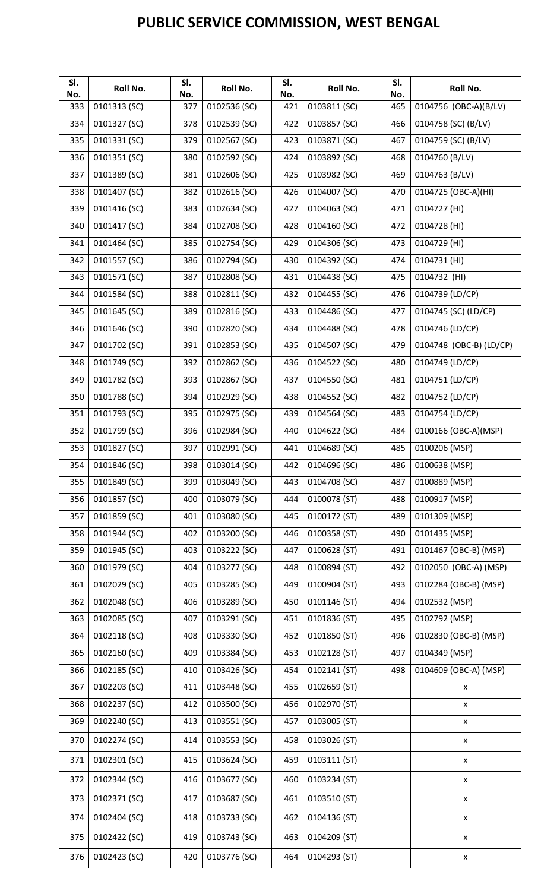| SI.<br>No. | Roll No.     | SI.<br>No. | Roll No.     | SI.<br>No. | Roll No.     | SI.<br>No. | Roll No.                |
|------------|--------------|------------|--------------|------------|--------------|------------|-------------------------|
| 333        | 0101313 (SC) | 377        | 0102536 (SC) | 421        | 0103811 (SC) | 465        | 0104756 (OBC-A)(B/LV)   |
| 334        | 0101327 (SC) | 378        | 0102539 (SC) | 422        | 0103857 (SC) | 466        | 0104758 (SC) (B/LV)     |
| 335        | 0101331 (SC) | 379        | 0102567 (SC) | 423        | 0103871 (SC) | 467        | 0104759 (SC) (B/LV)     |
| 336        | 0101351 (SC) | 380        | 0102592 (SC) | 424        | 0103892 (SC) | 468        | 0104760 (B/LV)          |
| 337        | 0101389 (SC) | 381        | 0102606 (SC) | 425        | 0103982 (SC) | 469        | 0104763 (B/LV)          |
| 338        | 0101407 (SC) | 382        | 0102616 (SC) | 426        | 0104007 (SC) | 470        | 0104725 (OBC-A)(HI)     |
| 339        | 0101416 (SC) | 383        | 0102634 (SC) | 427        | 0104063 (SC) | 471        | 0104727 (HI)            |
| 340        | 0101417 (SC) | 384        | 0102708 (SC) | 428        | 0104160 (SC) | 472        | 0104728 (HI)            |
| 341        | 0101464 (SC) | 385        | 0102754 (SC) | 429        | 0104306 (SC) | 473        | 0104729 (HI)            |
| 342        | 0101557 (SC) | 386        | 0102794 (SC) | 430        | 0104392 (SC) | 474        | 0104731 (HI)            |
| 343        | 0101571 (SC) | 387        | 0102808 (SC) | 431        | 0104438 (SC) | 475        | 0104732 (HI)            |
| 344        | 0101584 (SC) | 388        | 0102811 (SC) | 432        | 0104455 (SC) | 476        | 0104739 (LD/CP)         |
| 345        | 0101645 (SC) | 389        | 0102816 (SC) | 433        | 0104486 (SC) | 477        | 0104745 (SC) (LD/CP)    |
| 346        | 0101646 (SC) | 390        | 0102820 (SC) | 434        | 0104488 (SC) | 478        | 0104746 (LD/CP)         |
| 347        | 0101702 (SC) | 391        | 0102853 (SC) | 435        | 0104507 (SC) | 479        | 0104748 (OBC-B) (LD/CP) |
| 348        | 0101749 (SC) | 392        | 0102862 (SC) | 436        | 0104522 (SC) | 480        | 0104749 (LD/CP)         |
| 349        | 0101782 (SC) | 393        | 0102867 (SC) | 437        | 0104550 (SC) | 481        | 0104751 (LD/CP)         |
| 350        | 0101788 (SC) | 394        | 0102929 (SC) | 438        | 0104552 (SC) | 482        | 0104752 (LD/CP)         |
| 351        | 0101793 (SC) | 395        | 0102975 (SC) | 439        | 0104564 (SC) | 483        | 0104754 (LD/CP)         |
| 352        | 0101799 (SC) | 396        | 0102984 (SC) | 440        | 0104622 (SC) | 484        | 0100166 (OBC-A)(MSP)    |
| 353        | 0101827 (SC) | 397        | 0102991 (SC) | 441        | 0104689 (SC) | 485        | 0100206 (MSP)           |
| 354        | 0101846 (SC) | 398        | 0103014 (SC) | 442        | 0104696 (SC) | 486        | 0100638 (MSP)           |
| 355        | 0101849 (SC) | 399        | 0103049 (SC) | 443        | 0104708 (SC) | 487        | 0100889 (MSP)           |
| 356        | 0101857 (SC) | 400        | 0103079 (SC) | 444        | 0100078 (ST) | 488        | 0100917 (MSP)           |
| 357        | 0101859 (SC) | 401        | 0103080 (SC) | 445        | 0100172 (ST) | 489        | 0101309 (MSP)           |
| 358        | 0101944 (SC) | 402        | 0103200 (SC) | 446        | 0100358 (ST) | 490        | 0101435 (MSP)           |
| 359        | 0101945 (SC) | 403        | 0103222 (SC) | 447        | 0100628 (ST) | 491        | 0101467 (OBC-B) (MSP)   |
| 360        | 0101979 (SC) | 404        | 0103277 (SC) | 448        | 0100894 (ST) | 492        | 0102050 (OBC-A) (MSP)   |
| 361        | 0102029 (SC) | 405        | 0103285 (SC) | 449        | 0100904 (ST) | 493        | 0102284 (OBC-B) (MSP)   |
| 362        | 0102048 (SC) | 406        | 0103289 (SC) | 450        | 0101146 (ST) | 494        | 0102532 (MSP)           |
| 363        | 0102085 (SC) | 407        | 0103291 (SC) | 451        | 0101836 (ST) | 495        | 0102792 (MSP)           |
| 364        | 0102118 (SC) | 408        | 0103330 (SC) | 452        | 0101850 (ST) | 496        | 0102830 (OBC-B) (MSP)   |
| 365        | 0102160 (SC) | 409        | 0103384 (SC) | 453        | 0102128 (ST) | 497        | 0104349 (MSP)           |
| 366        | 0102185 (SC) | 410        | 0103426 (SC) | 454        | 0102141 (ST) | 498        | 0104609 (OBC-A) (MSP)   |
| 367        | 0102203 (SC) | 411        | 0103448 (SC) | 455        | 0102659 (ST) |            | X                       |
| 368        | 0102237 (SC) | 412        | 0103500 (SC) | 456        | 0102970 (ST) |            | X                       |
| 369        | 0102240 (SC) | 413        | 0103551 (SC) | 457        | 0103005 (ST) |            | X                       |
| 370        | 0102274 (SC) | 414        | 0103553 (SC) | 458        | 0103026 (ST) |            | $\pmb{\mathsf{X}}$      |
| 371        | 0102301 (SC) | 415        | 0103624 (SC) | 459        | 0103111 (ST) |            | X                       |
| 372        | 0102344 (SC) | 416        | 0103677 (SC) | 460        | 0103234 (ST) |            | X                       |
| 373        | 0102371 (SC) | 417        | 0103687 (SC) | 461        | 0103510 (ST) |            | $\pmb{\mathsf{X}}$      |
| 374        | 0102404 (SC) | 418        | 0103733 (SC) | 462        | 0104136 (ST) |            | X                       |
| 375        | 0102422 (SC) | 419        | 0103743 (SC) | 463        | 0104209 (ST) |            | X                       |
| 376        | 0102423 (SC) | 420        | 0103776 (SC) | 464        | 0104293 (ST) |            | $\pmb{\mathsf{X}}$      |